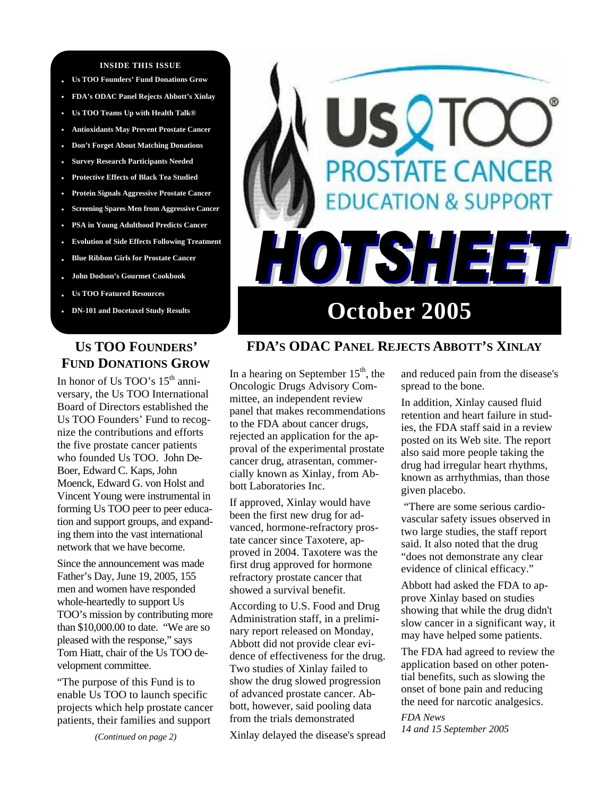#### **INSIDE THIS ISSUE**

- **Us TOO Founders' Fund Donations Grow**
- **• FDA's ODAC Panel Rejects Abbott's Xinlay**
- **• Us TOO Teams Up with Health Talk®**
- **• Antioxidants May Prevent Prostate Cancer • Don't Forget About Matching Donations**
- **• Survey Research Participants Needed**
- **• Protective Effects of Black Tea Studied**
- **• Protein Signals Aggressive Prostate Cancer**
- **• Screening Spares Men from Aggressive Cancer**
- **• PSA in Young Adulthood Predicts Cancer**
- **• Evolution of Side Effects Following Treatment**
- **• Blue Ribbon Girls for Prostate Cancer**
- **• John Dodson's Gourmet Cookbook**
- **Us TOO Featured Resources**
- **DN-101 and Docetaxel Study Results**

# **US TOO FOUNDERS' FUND DONATIONS GROW**

In honor of Us TOO's 15<sup>th</sup> anniversary, the Us TOO International Board of Directors established the Us TOO Founders' Fund to recognize the contributions and efforts the five prostate cancer patients who founded Us TOO. John De-Boer, Edward C. Kaps, John Moenck, Edward G. von Holst and Vincent Young were instrumental in forming Us TOO peer to peer education and support groups, and expanding them into the vast international network that we have become.

Since the announcement was made Father's Day, June 19, 2005, 155 men and women have responded whole-heartedly to support Us TOO's mission by contributing more than \$10,000.00 to date. "We are so pleased with the response," says Tom Hiatt, chair of the Us TOO development committee.

"The purpose of this Fund is to enable Us TOO to launch specific projects which help prostate cancer patients, their families and support

*(Continued on page 2)* 



## **FDA'S ODAC PANEL REJECTS ABBOTT'S XINLAY**

In a hearing on September  $15<sup>th</sup>$ , the Oncologic Drugs Advisory Committee, an independent review panel that makes recommendations to the FDA about cancer drugs, rejected an application for the approval of the experimental prostate cancer drug, atrasentan, commercially known as Xinlay, from Abbott Laboratories Inc.

If approved, Xinlay would have been the first new drug for advanced, hormone-refractory prostate cancer since Taxotere, approved in 2004. Taxotere was the first drug approved for hormone refractory prostate cancer that showed a survival benefit.

According to U.S. Food and Drug Administration staff, in a preliminary report released on Monday, Abbott did not provide clear evidence of effectiveness for the drug. Two studies of Xinlay failed to show the drug slowed progression of advanced prostate cancer. Abbott, however, said pooling data from the trials demonstrated

Xinlay delayed the disease's spread

and reduced pain from the disease's spread to the bone.

In addition, Xinlay caused fluid retention and heart failure in studies, the FDA staff said in a review posted on its Web site. The report also said more people taking the drug had irregular heart rhythms, known as arrhythmias, than those given placebo.

 "There are some serious cardiovascular safety issues observed in two large studies, the staff report said. It also noted that the drug "does not demonstrate any clear evidence of clinical efficacy."

Abbott had asked the FDA to approve Xinlay based on studies showing that while the drug didn't slow cancer in a significant way, it may have helped some patients.

The FDA had agreed to review the application based on other potential benefits, such as slowing the onset of bone pain and reducing the need for narcotic analgesics.

*FDA News 14 and 15 September 2005*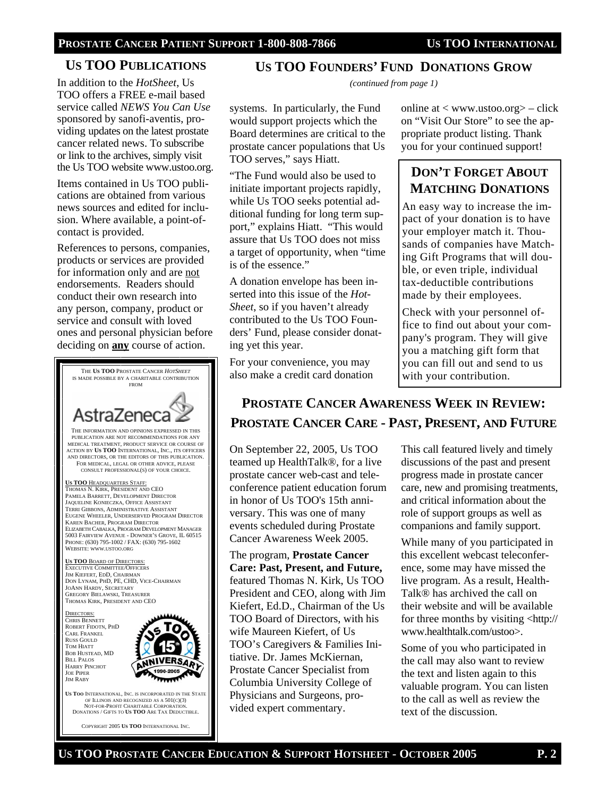## **US TOO PUBLICATIONS**

In addition to the *HotSheet*, Us TOO offers a FREE e-mail based service called *NEWS You Can Use*  sponsored by sanofi-aventis, providing updates on the latest prostate cancer related news. To subscribe or link to the archives, simply visit the Us TOO website www.ustoo.org.

Items contained in Us TOO publications are obtained from various news sources and edited for inclusion. Where available, a point-ofcontact is provided.

References to persons, companies, products or services are provided for information only and are not endorsements. Readers should conduct their own research into any person, company, product or service and consult with loved ones and personal physician before deciding on **any** course of action.



### **US TOO FOUNDERS' FUND DONATIONS GROW**

*(continued from page 1)* 

systems. In particularly, the Fund would support projects which the Board determines are critical to the prostate cancer populations that Us TOO serves," says Hiatt.

"The Fund would also be used to initiate important projects rapidly, while Us TOO seeks potential additional funding for long term support," explains Hiatt. "This would assure that Us TOO does not miss a target of opportunity, when "time is of the essence."

A donation envelope has been inserted into this issue of the *Hot-Sheet*, so if you haven't already contributed to the Us TOO Founders' Fund, please consider donating yet this year.

For your convenience, you may also make a credit card donation

online at  $\langle$  www.ustoo.org $\rangle$  – click on "Visit Our Store" to see the appropriate product listing. Thank you for your continued support!

# **DON'T FORGET ABOUT MATCHING DONATIONS**

An easy way to increase the impact of your donation is to have your employer match it. Thousands of companies have Matching Gift Programs that will double, or even triple, individual tax-deductible contributions made by their employees.

Check with your personnel office to find out about your company's program. They will give you a matching gift form that you can fill out and send to us with your contribution.

# **PROSTATE CANCER AWARENESS WEEK IN REVIEW: PROSTATE CANCER CARE - PAST, PRESENT, AND FUTURE**

On September 22, 2005, Us TOO teamed up HealthTalk®, for a live prostate cancer web-cast and teleconference patient education forum in honor of Us TOO's 15th anniversary. This was one of many events scheduled during Prostate Cancer Awareness Week 2005.

The program, **Prostate Cancer Care: Past, Present, and Future,** featured Thomas N. Kirk, Us TOO President and CEO, along with Jim Kiefert, Ed.D., Chairman of the Us TOO Board of Directors, with his wife Maureen Kiefert, of Us TOO's Caregivers & Families Initiative. Dr. James McKiernan, Prostate Cancer Specialist from Columbia University College of Physicians and Surgeons, provided expert commentary.

This call featured lively and timely discussions of the past and present progress made in prostate cancer care, new and promising treatments, and critical information about the role of support groups as well as companions and family support.

While many of you participated in this excellent webcast teleconference, some may have missed the live program. As a result, Health-Talk® has archived the call on their website and will be available for three months by visiting <http:// www.healthtalk.com/ustoo>.

Some of you who participated in the call may also want to review the text and listen again to this valuable program. You can listen to the call as well as review the text of the discussion.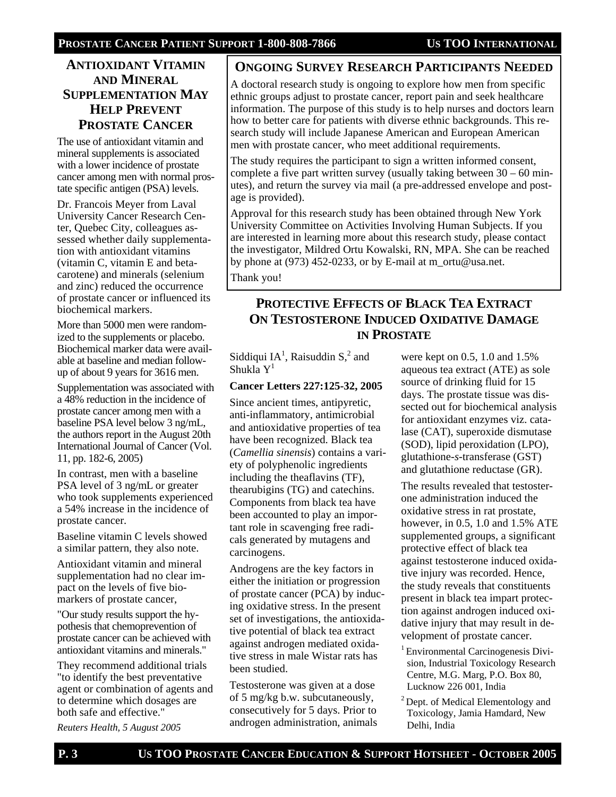## **ANTIOXIDANT VITAMIN AND MINERAL SUPPLEMENTATION MAY HELP PREVENT PROSTATE CANCER**

The use of antioxidant vitamin and mineral supplements is associated with a lower incidence of prostate cancer among men with normal prostate specific antigen (PSA) levels.

Dr. Francois Meyer from Laval University Cancer Research Center, Quebec City, colleagues assessed whether daily supplementation with antioxidant vitamins (vitamin C, vitamin E and betacarotene) and minerals (selenium and zinc) reduced the occurrence of prostate cancer or influenced its biochemical markers.

More than 5000 men were randomized to the supplements or placebo. Biochemical marker data were available at baseline and median followup of about 9 years for 3616 men.

Supplementation was associated with a 48% reduction in the incidence of prostate cancer among men with a baseline PSA level below 3 ng/mL, the authors report in the August 20th International Journal of Cancer (Vol. 11, pp. 182-6, 2005)

In contrast, men with a baseline PSA level of 3 ng/mL or greater who took supplements experienced a 54% increase in the incidence of prostate cancer.

Baseline vitamin C levels showed a similar pattern, they also note.

Antioxidant vitamin and mineral supplementation had no clear impact on the levels of five biomarkers of prostate cancer,

"Our study results support the hypothesis that chemoprevention of prostate cancer can be achieved with antioxidant vitamins and minerals."

They recommend additional trials "to identify the best preventative agent or combination of agents and to determine which dosages are both safe and effective."

*Reuters Health, 5 August 2005* 

### **ONGOING SURVEY RESEARCH PARTICIPANTS NEEDED**

A doctoral research study is ongoing to explore how men from specific ethnic groups adjust to prostate cancer, report pain and seek healthcare information. The purpose of this study is to help nurses and doctors learn how to better care for patients with diverse ethnic backgrounds. This research study will include Japanese American and European American men with prostate cancer, who meet additional requirements.

The study requires the participant to sign a written informed consent, complete a five part written survey (usually taking between  $30 - 60$  minutes), and return the survey via mail (a pre-addressed envelope and postage is provided).

Approval for this research study has been obtained through New York University Committee on Activities Involving Human Subjects. If you are interested in learning more about this research study, please contact the investigator, Mildred Ortu Kowalski, RN, MPA. She can be reached by phone at (973) 452-0233, or by E-mail at m\_ortu@usa.net.

Thank you!

## **PROTECTIVE EFFECTS OF BLACK TEA EXTRACT ON TESTOSTERONE INDUCED OXIDATIVE DAMAGE IN PROSTATE**

Siddiqui  $IA<sup>1</sup>$ , Raisuddin S,<sup>2</sup> and Shukla  $Y^1$ 

#### **Cancer Letters 227:125-32, 2005**

Since ancient times, antipyretic, anti-inflammatory, antimicrobial and antioxidative properties of tea have been recognized. Black tea (*Camellia sinensis*) contains a variety of polyphenolic ingredients including the theaflavins (TF), thearubigins (TG) and catechins. Components from black tea have been accounted to play an important role in scavenging free radicals generated by mutagens and carcinogens.

Androgens are the key factors in either the initiation or progression of prostate cancer (PCA) by inducing oxidative stress. In the present set of investigations, the antioxidative potential of black tea extract against androgen mediated oxidative stress in male Wistar rats has been studied.

Testosterone was given at a dose of 5 mg/kg b.w. subcutaneously, consecutively for 5 days. Prior to androgen administration, animals were kept on 0.5, 1.0 and 1.5% aqueous tea extract (ATE) as sole source of drinking fluid for 15 days. The prostate tissue was dissected out for biochemical analysis for antioxidant enzymes viz. catalase (CAT), superoxide dismutase (SOD), lipid peroxidation (LPO), glutathione-*s*-transferase (GST) and glutathione reductase (GR).

The results revealed that testosterone administration induced the oxidative stress in rat prostate, however, in 0.5, 1.0 and 1.5% ATE supplemented groups, a significant protective effect of black tea against testosterone induced oxidative injury was recorded. Hence, the study reveals that constituents present in black tea impart protection against androgen induced oxidative injury that may result in development of prostate cancer.

<sup>1</sup> Environmental Carcinogenesis Division, Industrial Toxicology Research Centre, M.G. Marg, P.O. Box 80, Lucknow 226 001, India

<sup>2</sup> Dept. of Medical Elementology and Toxicology, Jamia Hamdard, New Delhi, India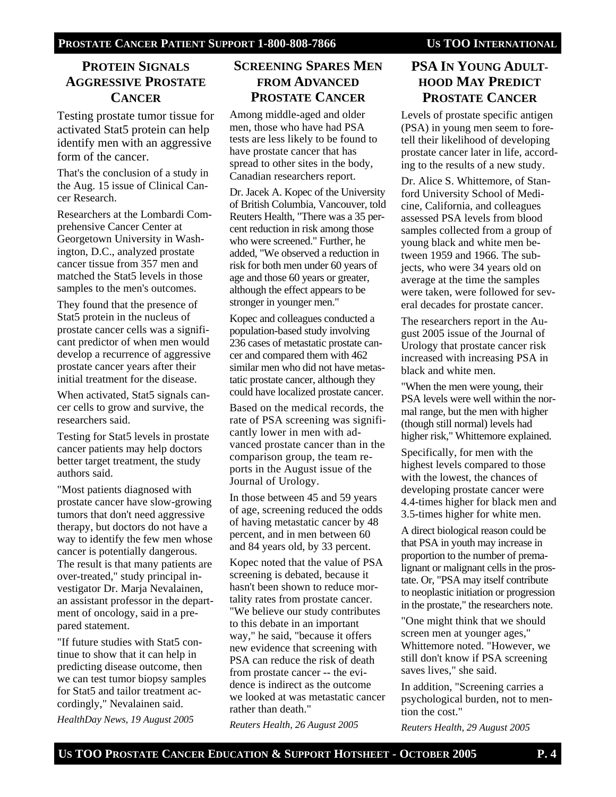## **PROTEIN SIGNALS AGGRESSIVE PROSTATE CANCER**

Testing prostate tumor tissue for activated Stat5 protein can help identify men with an aggressive form of the cancer.

That's the conclusion of a study in the Aug. 15 issue of Clinical Cancer Research.

Researchers at the Lombardi Comprehensive Cancer Center at Georgetown University in Washington, D.C., analyzed prostate cancer tissue from 357 men and matched the Stat5 levels in those samples to the men's outcomes.

They found that the presence of Stat5 protein in the nucleus of prostate cancer cells was a significant predictor of when men would develop a recurrence of aggressive prostate cancer years after their initial treatment for the disease.

When activated, Stat5 signals cancer cells to grow and survive, the researchers said.

Testing for Stat5 levels in prostate cancer patients may help doctors better target treatment, the study authors said.

"Most patients diagnosed with prostate cancer have slow-growing tumors that don't need aggressive therapy, but doctors do not have a way to identify the few men whose cancer is potentially dangerous. The result is that many patients are over-treated," study principal investigator Dr. Marja Nevalainen, an assistant professor in the department of oncology, said in a prepared statement.

"If future studies with Stat5 continue to show that it can help in predicting disease outcome, then we can test tumor biopsy samples for Stat5 and tailor treatment accordingly," Nevalainen said.

*HealthDay News, 19 August 2005* 

## **SCREENING SPARES MEN FROM ADVANCED PROSTATE CANCER**

Among middle-aged and older men, those who have had PSA tests are less likely to be found to have prostate cancer that has spread to other sites in the body, Canadian researchers report.

Dr. Jacek A. Kopec of the University of British Columbia, Vancouver, told Reuters Health, "There was a 35 percent reduction in risk among those who were screened." Further, he added, "We observed a reduction in risk for both men under 60 years of age and those 60 years or greater, although the effect appears to be stronger in younger men."

Kopec and colleagues conducted a population-based study involving 236 cases of metastatic prostate cancer and compared them with 462 similar men who did not have metastatic prostate cancer, although they could have localized prostate cancer.

Based on the medical records, the rate of PSA screening was significantly lower in men with advanced prostate cancer than in the comparison group, the team reports in the August issue of the Journal of Urology.

In those between 45 and 59 years of age, screening reduced the odds of having metastatic cancer by 48 percent, and in men between 60 and 84 years old, by 33 percent.

Kopec noted that the value of PSA screening is debated, because it hasn't been shown to reduce mortality rates from prostate cancer. "We believe our study contributes to this debate in an important way," he said, "because it offers new evidence that screening with PSA can reduce the risk of death from prostate cancer -- the evidence is indirect as the outcome we looked at was metastatic cancer rather than death."

*Reuters Health, 26 August 2005* 

## **PSA IN YOUNG ADULT-HOOD MAY PREDICT PROSTATE CANCER**

Levels of prostate specific antigen (PSA) in young men seem to foretell their likelihood of developing prostate cancer later in life, according to the results of a new study.

Dr. Alice S. Whittemore, of Stanford University School of Medicine, California, and colleagues assessed PSA levels from blood samples collected from a group of young black and white men between 1959 and 1966. The subjects, who were 34 years old on average at the time the samples were taken, were followed for several decades for prostate cancer.

The researchers report in the August 2005 issue of the Journal of Urology that prostate cancer risk increased with increasing PSA in black and white men.

"When the men were young, their PSA levels were well within the normal range, but the men with higher (though still normal) levels had higher risk," Whittemore explained.

Specifically, for men with the highest levels compared to those with the lowest, the chances of developing prostate cancer were 4.4-times higher for black men and 3.5-times higher for white men.

A direct biological reason could be that PSA in youth may increase in proportion to the number of premalignant or malignant cells in the prostate. Or, "PSA may itself contribute to neoplastic initiation or progression in the prostate," the researchers note.

"One might think that we should screen men at younger ages," Whittemore noted. "However, we still don't know if PSA screening saves lives," she said.

In addition, "Screening carries a psychological burden, not to mention the cost."

*Reuters Health, 29 August 2005*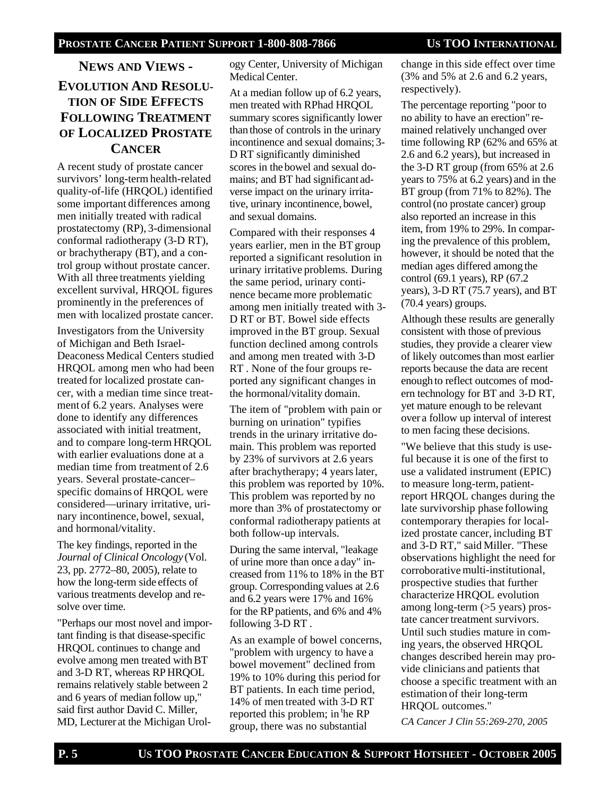# **NEWS AND VIEWS - EVOLUTION AND RESOLU-TION OF SIDE EFFECTS FOLLOWING TREATMENT OF LOCALIZED PROSTATE CANCER**

A recent study of prostate cancer survivors' long-term health-related quality-of-life (HRQOL) identified some important differences among men initially treated with radical prostatectomy (RP), 3-dimensional conformal radiotherapy (3-D RT), or brachytherapy (BT), and a control group without prostate cancer. With all three treatments yielding excellent survival, HRQOL figures prominently in the preferences of men with localized prostate cancer.

Investigators from the University of Michigan and Beth Israel-Deaconess Medical Centers studied HRQOL among men who had been treated for localized prostate cancer, with a median time since treatment of 6.2 years. Analyses were done to identify any differences associated with initial treatment, and to compare long-term HRQOL with earlier evaluations done at a median time from treatment of 2.6 years. Several prostate-cancer– specific domains of HRQOL were considered—urinary irritative, urinary incontinence, bowel, sexual, and hormonal/vitality.

The key findings, reported in the *Journal of Clinical Oncology* (Vol. 23, pp. 2772–80, 2005), relate to how the long-term side effects of various treatments develop and resolve over time.

"Perhaps our most novel and important finding is that disease-specific HRQOL continues to change and evolve among men treated withBT and 3-D RT, whereas RPHRQOL remains relatively stable between 2 and 6 years of median follow up," said first author David C. Miller, MD, Lecturer at the Michigan Urology Center, University of Michigan Medical Center.

At a median follow up of 6.2 years, men treated with RPhad HRQOL summary scores significantly lower than those of controls in the urinary incontinence and sexual domains; 3- D RT significantly diminished scores in the bowel and sexual domains; and BT had significant adverse impact on the urinary irritative, urinary incontinence, bowel, and sexual domains.

Compared with their responses 4 years earlier, men in the BT group reported a significant resolution in urinary irritative problems. During the same period, urinary continence became more problematic among men initially treated with 3- D RT or BT. Bowel side effects improved in the BT group. Sexual function declined among controls and among men treated with 3-D RT . None of the four groups reported any significant changes in the hormonal/vitality domain.

The item of "problem with pain or burning on urination" typifies trends in the urinary irritative domain. This problem was reported by 23% of survivors at 2.6 years after brachytherapy; 4 yearslater, this problem was reported by 10%. This problem was reported by no more than 3% of prostatectomy or conformal radiotherapy patients at both follow-up intervals.

During the same interval, "leakage of urine more than once a day" increased from 11% to 18% in the BT group. Corresponding values at 2.6 and 6.2 years were 17% and 16% for the RPpatients, and 6% and 4% following 3-D RT .

As an example of bowel concerns, "problem with urgency to have a bowel movement" declined from 19% to 10% during this period for BT patients. In each time period, 14% of men treated with 3-D RT reported this problem; in the RP group, there was no substantial

change in this side effect over time (3% and 5% at 2.6 and 6.2 years, respectively).

The percentage reporting "poor to no ability to have an erection" remained relatively unchanged over time following RP (62% and 65% at 2.6 and 6.2 years), but increased in the 3-D RT group (from 65% at 2.6 years to 75% at 6.2 years) and in the BT group (from 71% to 82%). The control(no prostate cancer) group also reported an increase in this item, from 19% to 29%. In comparing the prevalence of this problem, however, it should be noted that the median ages differed among the control (69.1 years), RP (67.2 years), 3-D RT (75.7 years), and BT (70.4 years) groups.

Although these results are generally consistent with those of previous studies, they provide a clearer view of likely outcomes than most earlier reports because the data are recent enough to reflect outcomes of modern technology for BT and 3-D RT, yet mature enough to be relevant over a follow up interval of interest to men facing these decisions.

"We believe that this study is useful because it is one of the first to use a validated instrument (EPIC) to measure long-term, patientreport HRQOL changes during the late survivorship phase following contemporary therapies for localized prostate cancer, including BT and 3-D RT," said Miller. "These observations highlight the need for corroborative multi-institutional, prospective studies that further characterize HRQOL evolution among long-term (>5 years) prostate cancer treatment survivors. Until such studies mature in coming years, the observed HRQOL changes described herein may provide clinicians and patients that choose a specific treatment with an estimation of their long-term HRQOL outcomes."

*CA Cancer J Clin 55:269-270, 2005*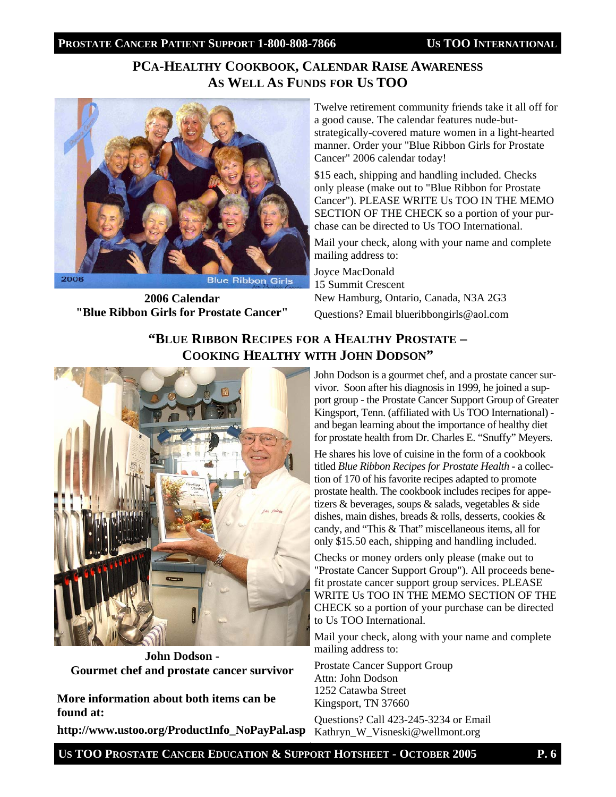# **PCA-HEALTHY COOKBOOK, CALENDAR RAISE AWARENESS AS WELL AS FUNDS FOR US TOO**



**2006 Calendar "Blue Ribbon Girls for Prostate Cancer"** Twelve retirement community friends take it all off for a good cause. The calendar features nude-butstrategically-covered mature women in a light-hearted manner. Order your "Blue Ribbon Girls for Prostate Cancer" 2006 calendar today!

\$15 each, shipping and handling included. Checks only please (make out to "Blue Ribbon for Prostate Cancer"). PLEASE WRITE Us TOO IN THE MEMO SECTION OF THE CHECK so a portion of your purchase can be directed to Us TOO International.

Mail your check, along with your name and complete mailing address to:

Joyce MacDonald 15 Summit Crescent New Hamburg, Ontario, Canada, N3A 2G3 Questions? Email blueribbongirls@aol.com

# **"BLUE RIBBON RECIPES FOR A HEALTHY PROSTATE – COOKING HEALTHY WITH JOHN DODSON"**



**John Dodson - Gourmet chef and prostate cancer survivor** 

**More information about both items can be found at:** 

http://www.ustoo.org/ProductInfo\_NoPayPal.asp Kathryn\_W\_Visneski@wellmont.org

John Dodson is a gourmet chef, and a prostate cancer survivor. Soon after his diagnosis in 1999, he joined a support group - the Prostate Cancer Support Group of Greater Kingsport, Tenn. (affiliated with Us TOO International) and began learning about the importance of healthy diet for prostate health from Dr. Charles E. "Snuffy" Meyers.

He shares his love of cuisine in the form of a cookbook titled *Blue Ribbon Recipes for Prostate Health* - a collection of 170 of his favorite recipes adapted to promote prostate health. The cookbook includes recipes for appetizers & beverages, soups & salads, vegetables & side dishes, main dishes, breads & rolls, desserts, cookies & candy, and "This & That" miscellaneous items, all for only \$15.50 each, shipping and handling included.

Checks or money orders only please (make out to "Prostate Cancer Support Group"). All proceeds benefit prostate cancer support group services. PLEASE WRITE Us TOO IN THE MEMO SECTION OF THE CHECK so a portion of your purchase can be directed to Us TOO International.

Mail your check, along with your name and complete mailing address to:

Prostate Cancer Support Group Attn: John Dodson 1252 Catawba Street Kingsport, TN 37660

Questions? Call 423-245-3234 or Email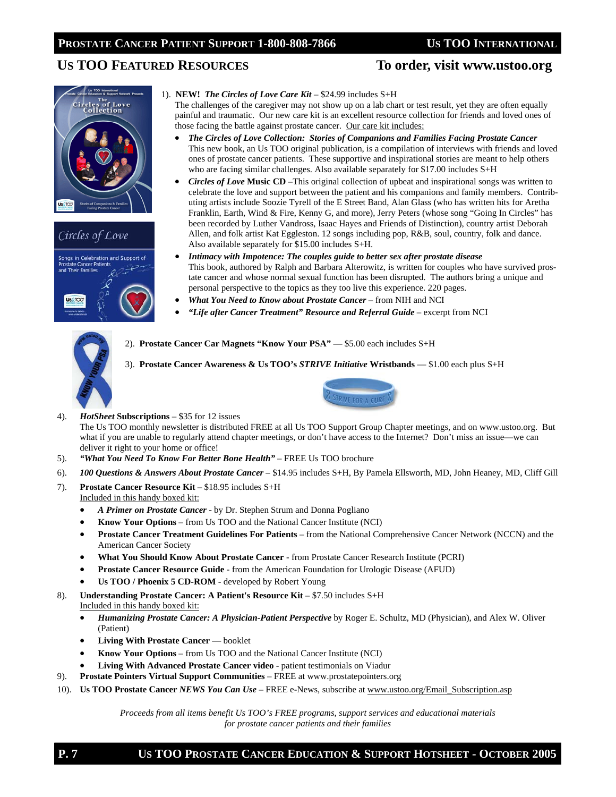## US TOO FEATURED RESOURCES To order, visit www.ustoo.org







1). **NEW!** *The Circles of Love Care Kit* – \$24.99 includes S+H

 The challenges of the caregiver may not show up on a lab chart or test result, yet they are often equally painful and traumatic. Our new care kit is an excellent resource collection for friends and loved ones of those facing the battle against prostate cancer. Our care kit includes:

- *The Circles of Love Collection: Stories of Companions and Families Facing Prostate Cancer*  This new book, an Us TOO original publication, is a compilation of interviews with friends and loved ones of prostate cancer patients. These supportive and inspirational stories are meant to help others who are facing similar challenges. Also available separately for \$17.00 includes S+H
- *Circles of Love Music CD –This original collection of upbeat and inspirational songs was written to* celebrate the love and support between the patient and his companions and family members. Contributing artists include Soozie Tyrell of the E Street Band, Alan Glass (who has written hits for Aretha Franklin, Earth, Wind & Fire, Kenny G, and more), Jerry Peters (whose song "Going In Circles" has been recorded by Luther Vandross, Isaac Hayes and Friends of Distinction), country artist Deborah Allen, and folk artist Kat Eggleston. 12 songs including pop, R&B, soul, country, folk and dance. Also available separately for \$15.00 includes S+H.
- *Intimacy with Impotence: The couples guide to better sex after prostate disease*  This book, authored by Ralph and Barbara Alterowitz, is written for couples who have survived prostate cancer and whose normal sexual function has been disrupted. The authors bring a unique and personal perspective to the topics as they too live this experience. 220 pages.
- *What You Need to Know about Prostate Cancer* from NIH and NCI
- "Life after Cancer Treatment" Resource and Referral Guide excerpt from NCI



2). **Prostate Cancer Car Magnets "Know Your PSA"** - \$5.00 each includes S+H

3). **Prostate Cancer Awareness & Us TOO's** *STRIVE Initiative* **Wristbands** — \$1.00 each plus S+H



4). *HotSheet* **Subscriptions** – \$35 for 12 issues The Us TOO monthly newsletter is distributed FREE at all Us TOO Support Group Chapter meetings, and on www.ustoo.org. But what if you are unable to regularly attend chapter meetings, or don't have access to the Internet? Don't miss an issue—we can deliver it right to your home or office!

- 5). *"What You Need To Know For Better Bone Health"*  FREE Us TOO brochure
- 6). *100 Questions & Answers About Prostate Cancer*  \$14.95 includes S+H, By Pamela Ellsworth, MD, John Heaney, MD, Cliff Gill
- 7). **Prostate Cancer Resource Kit** \$18.95 includes S+H Included in this handy boxed kit:
	- *A Primer on Prostate Cancer*  by Dr. Stephen Strum and Donna Pogliano
	- **Know Your Options** from Us TOO and the National Cancer Institute (NCI)
	- **Prostate Cancer Treatment Guidelines For Patients**  from the National Comprehensive Cancer Network (NCCN) and the American Cancer Society
	- **What You Should Know About Prostate Cancer**  from Prostate Cancer Research Institute (PCRI)
	- **Prostate Cancer Resource Guide**  from the American Foundation for Urologic Disease (AFUD)
	- **Us TOO / Phoenix 5 CD-ROM**  developed by Robert Young
- 8). **Understanding Prostate Cancer: A Patient's Resource Kit**  \$7.50 includes S+H
- Included in this handy boxed kit:
	- *Humanizing Prostate Cancer: A Physician-Patient Perspective* by Roger E. Schultz, MD (Physician), and Alex W. Oliver (Patient)
	- **Living With Prostate Cancer** booklet
	- **Know Your Options**  from Us TOO and the National Cancer Institute (NCI)
	- **Living With Advanced Prostate Cancer video**  patient testimonials on Viadur
- 9). **Prostate Pointers Virtual Support Communities**  FREE at www.prostatepointers.org
- 10). **Us TOO Prostate Cancer** *NEWS You Can Use* FREE e-News, subscribe at www.ustoo.org/Email\_Subscription.asp

*Proceeds from all items benefit Us TOO's FREE programs, support services and educational materials for prostate cancer patients and their families*